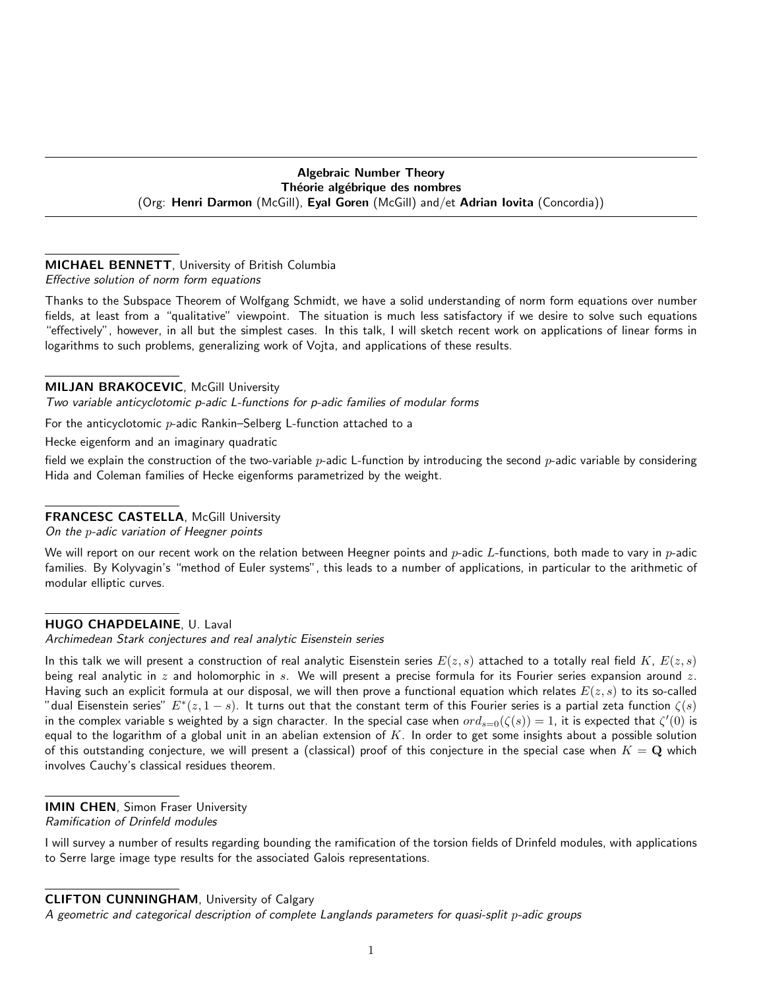# Algebraic Number Theory Théorie algébrique des nombres (Org: Henri Darmon (McGill), Eyal Goren (McGill) and/et Adrian Iovita (Concordia))

# MICHAEL BENNETT, University of British Columbia

Effective solution of norm form equations

Thanks to the Subspace Theorem of Wolfgang Schmidt, we have a solid understanding of norm form equations over number fields, at least from a "qualitative" viewpoint. The situation is much less satisfactory if we desire to solve such equations "effectively", however, in all but the simplest cases. In this talk, I will sketch recent work on applications of linear forms in logarithms to such problems, generalizing work of Vojta, and applications of these results.

# **MILJAN BRAKOCEVIC, McGill University**

Two variable anticyclotomic p-adic L-functions for p-adic families of modular forms

For the anticyclotomic p-adic Rankin–Selberg L-function attached to a

Hecke eigenform and an imaginary quadratic

field we explain the construction of the two-variable  $p$ -adic L-function by introducing the second  $p$ -adic variable by considering Hida and Coleman families of Hecke eigenforms parametrized by the weight.

# FRANCESC CASTELLA, McGill University

On the p-adic variation of Heegner points

We will report on our recent work on the relation between Heegner points and  $p$ -adic L-functions, both made to vary in  $p$ -adic families. By Kolyvagin's "method of Euler systems", this leads to a number of applications, in particular to the arithmetic of modular elliptic curves.

# HUGO CHAPDELAINE, U. Laval

Archimedean Stark conjectures and real analytic Eisenstein series

In this talk we will present a construction of real analytic Eisenstein series  $E(z, s)$  attached to a totally real field K,  $E(z, s)$ being real analytic in  $z$  and holomorphic in s. We will present a precise formula for its Fourier series expansion around  $z$ . Having such an explicit formula at our disposal, we will then prove a functional equation which relates  $E(z, s)$  to its so-called "dual Eisenstein series"  $E^*(z, 1-s)$ . It turns out that the constant term of this Fourier series is a partial zeta function  $\zeta(s)$ in the complex variable s weighted by a sign character. In the special case when  $ord_{s=0}(\zeta(s))=1$ , it is expected that  $\zeta'(0)$  is equal to the logarithm of a global unit in an abelian extension of  $K$ . In order to get some insights about a possible solution of this outstanding conjecture, we will present a (classical) proof of this conjecture in the special case when  $K = \mathbf{Q}$  which involves Cauchy's classical residues theorem.

IMIN CHEN, Simon Fraser University Ramification of Drinfeld modules

I will survey a number of results regarding bounding the ramification of the torsion fields of Drinfeld modules, with applications to Serre large image type results for the associated Galois representations.

## CLIFTON CUNNINGHAM, University of Calgary

A geometric and categorical description of complete Langlands parameters for quasi-split p-adic groups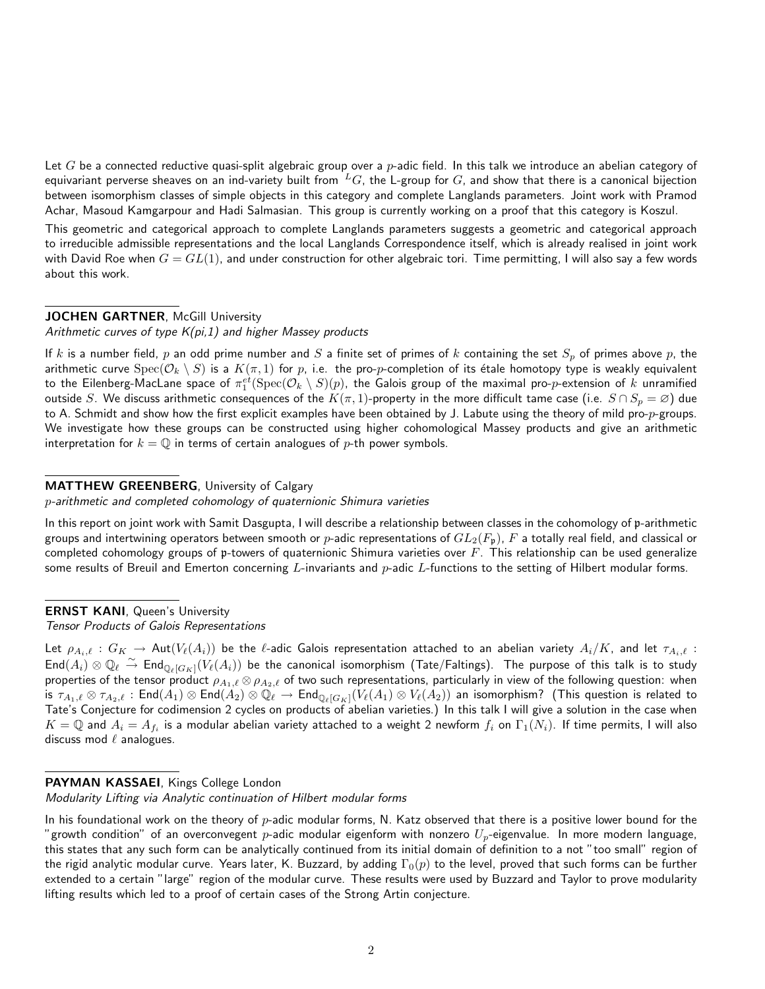Let G be a connected reductive quasi-split algebraic group over a  $p$ -adic field. In this talk we introduce an abelian category of equivariant perverse sheaves on an ind-variety built from  ${}^L G$ , the L-group for G, and show that there is a canonical bijection between isomorphism classes of simple objects in this category and complete Langlands parameters. Joint work with Pramod Achar, Masoud Kamgarpour and Hadi Salmasian. This group is currently working on a proof that this category is Koszul.

This geometric and categorical approach to complete Langlands parameters suggests a geometric and categorical approach to irreducible admissible representations and the local Langlands Correspondence itself, which is already realised in joint work with David Roe when  $G = GL(1)$ , and under construction for other algebraic tori. Time permitting, I will also say a few words about this work.

### JOCHEN GARTNER, McGill University

Arithmetic curves of type  $K(p_i,1)$  and higher Massey products

If k is a number field, p an odd prime number and S a finite set of primes of k containing the set  $S_p$  of primes above p, the arithmetic curve  $Spec(\mathcal{O}_k\setminus S)$  is a  $K(\pi,1)$  for  $p$ , i.e. the pro- $p$ -completion of its étale homotopy type is weakly equivalent to the Eilenberg-MacLane space of  $\pi_1^{et}(\mathrm{Spec}(\mathcal{O}_k\setminus S)(p),$  the Galois group of the maximal pro- $p$ -extension of  $k$  unramified outside S. We discuss arithmetic consequences of the  $K(\pi, 1)$ -property in the more difficult tame case (i.e.  $S \cap S_p = \varnothing$ ) due to A. Schmidt and show how the first explicit examples have been obtained by J. Labute using the theory of mild pro-p-groups. We investigate how these groups can be constructed using higher cohomological Massey products and give an arithmetic interpretation for  $k = \mathbb{Q}$  in terms of certain analogues of p-th power symbols.

### MATTHEW GREENBERG, University of Calgary

p-arithmetic and completed cohomology of quaternionic Shimura varieties

In this report on joint work with Samit Dasgupta, I will describe a relationship between classes in the cohomology of p-arithmetic groups and intertwining operators between smooth or p-adic representations of  $GL_2(F_p)$ , F a totally real field, and classical or completed cohomology groups of p-towers of quaternionic Shimura varieties over  $F$ . This relationship can be used generalize some results of Breuil and Emerton concerning  $L$ -invariants and  $p$ -adic  $L$ -functions to the setting of Hilbert modular forms.

ERNST KANI, Queen's University

#### Tensor Products of Galois Representations

Let  $\rho_{A_i,\ell}: G_K \to \mathsf{Aut}(V_\ell(A_i))$  be the  $\ell$ -adic Galois representation attached to an abelian variety  $A_i/K$ , and let  $\tau_{A_i,\ell}$ :  $\textsf{End}(A_i)\otimes \mathbb Q_\ell\stackrel{\sim}{\to}\textsf{End}_{\mathbb Q_\ell[G_K]}(V_\ell(A_i))$  be the canonical isomorphism (Tate/Faltings). The purpose of this talk is to study properties of the tensor product  $\rho_{A_1,\ell} \otimes \rho_{A_2,\ell}$  of two such representations, particularly in view of the following question: when is  $\tau_{A_1,\ell}\otimes\tau_{A_2,\ell}$  : End $(A_1)\otimes \mathsf{End}(A_2)\otimes \mathbb{Q}_\ell\to \mathsf{End}_{\mathbb{Q}_\ell[G_K]}(V_\ell(A_1)\otimes V_\ell(A_2))$  an isomorphism? (This question is related to Tate's Conjecture for codimension 2 cycles on products of abelian varieties.) In this talk I will give a solution in the case when  $K=\mathbb{Q}$  and  $A_i=A_{f_i}$  is a modular abelian variety attached to a weight 2 newform  $f_i$  on  $\Gamma_1(N_i).$  If time permits, I will also discuss mod  $\ell$  analogues.

# PAYMAN KASSAEI, Kings College London

Modularity Lifting via Analytic continuation of Hilbert modular forms

In his foundational work on the theory of  $p$ -adic modular forms, N. Katz observed that there is a positive lower bound for the "growth condition" of an overconvegent p-adic modular eigenform with nonzero  $U_p$ -eigenvalue. In more modern language, this states that any such form can be analytically continued from its initial domain of definition to a not "too small" region of the rigid analytic modular curve. Years later, K. Buzzard, by adding  $\Gamma_0(p)$  to the level, proved that such forms can be further extended to a certain "large" region of the modular curve. These results were used by Buzzard and Taylor to prove modularity lifting results which led to a proof of certain cases of the Strong Artin conjecture.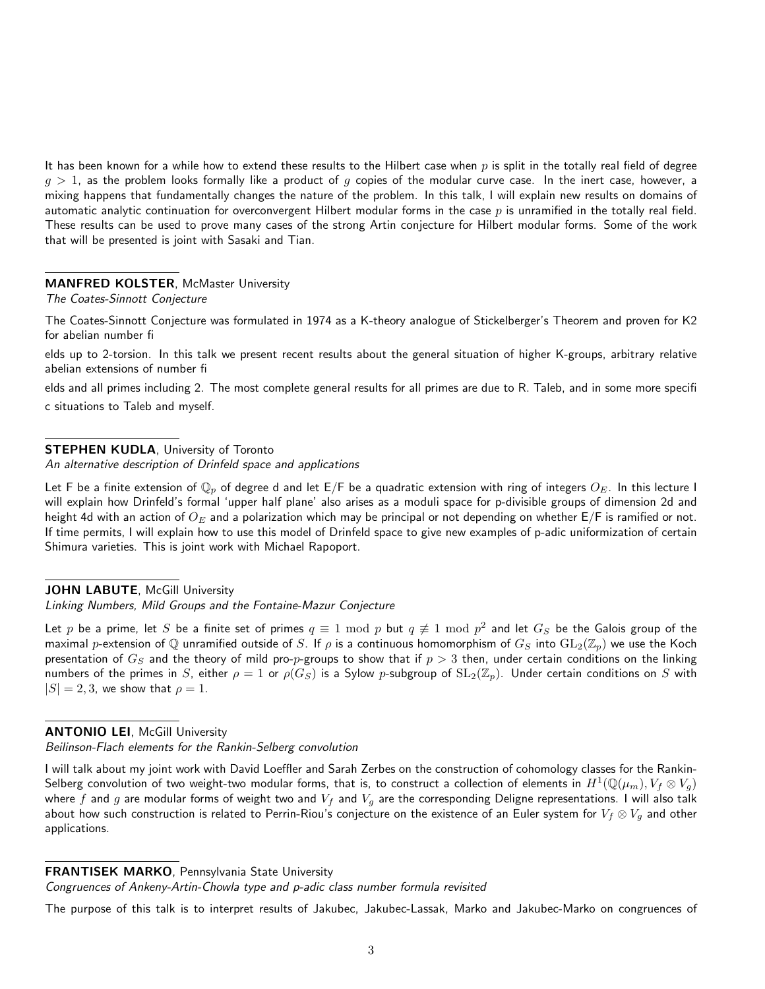It has been known for a while how to extend these results to the Hilbert case when  $p$  is split in the totally real field of degree  $q > 1$ , as the problem looks formally like a product of q copies of the modular curve case. In the inert case, however, a mixing happens that fundamentally changes the nature of the problem. In this talk, I will explain new results on domains of automatic analytic continuation for overconvergent Hilbert modular forms in the case p is unramified in the totally real field. These results can be used to prove many cases of the strong Artin conjecture for Hilbert modular forms. Some of the work that will be presented is joint with Sasaki and Tian.

### **MANFRED KOLSTER, McMaster University**

#### The Coates-Sinnott Conjecture

The Coates-Sinnott Conjecture was formulated in 1974 as a K-theory analogue of Stickelberger's Theorem and proven for K2 for abelian number fi

elds up to 2-torsion. In this talk we present recent results about the general situation of higher K-groups, arbitrary relative abelian extensions of number fi

elds and all primes including 2. The most complete general results for all primes are due to R. Taleb, and in some more specifi c situations to Taleb and myself.

## **STEPHEN KUDLA, University of Toronto**

An alternative description of Drinfeld space and applications

Let F be a finite extension of  $\mathbb{Q}_p$  of degree d and let E/F be a quadratic extension with ring of integers  $O_E$ . In this lecture I will explain how Drinfeld's formal 'upper half plane' also arises as a moduli space for p-divisible groups of dimension 2d and height 4d with an action of  $O_E$  and a polarization which may be principal or not depending on whether  $E/F$  is ramified or not. If time permits, I will explain how to use this model of Drinfeld space to give new examples of p-adic uniformization of certain Shimura varieties. This is joint work with Michael Rapoport.

## JOHN LABUTE, McGill University

Linking Numbers, Mild Groups and the Fontaine-Mazur Conjecture

Let  $p$  be a prime, let  $S$  be a finite set of primes  $q\equiv 1\,\,{\rm mod}\,\,p$  but  $q\not\equiv 1\,\,{\rm mod}\,\,p^2$  and let  $G_S$  be the Galois group of the maximal p-extension of Q unramified outside of S. If  $\rho$  is a continuous homomorphism of  $G_S$  into  $GL_2(\Z_p)$  we use the Koch presentation of  $G_S$  and the theory of mild pro- $p$ -groups to show that if  $p>3$  then, under certain conditions on the linking numbers of the primes in S, either  $\rho = 1$  or  $\rho(G_S)$  is a Sylow p-subgroup of  $SL_2(\mathbb{Z}_p)$ . Under certain conditions on S with  $|S| = 2, 3$ , we show that  $\rho = 1$ .

#### **ANTONIO LEI, McGill University**

Beilinson-Flach elements for the Rankin-Selberg convolution

I will talk about my joint work with David Loeffler and Sarah Zerbes on the construction of cohomology classes for the Rankin-Selberg convolution of two weight-two modular forms, that is, to construct a collection of elements in  $H^1({\rm \mathbb{Q}}(\mu_m),V_f\otimes V_g)$ where f and g are modular forms of weight two and  $V_f$  and  $V_g$  are the corresponding Deligne representations. I will also talk about how such construction is related to Perrin-Riou's conjecture on the existence of an Euler system for  $V_f \otimes V_g$  and other applications.

#### FRANTISEK MARKO, Pennsylvania State University

Congruences of Ankeny-Artin-Chowla type and p-adic class number formula revisited

The purpose of this talk is to interpret results of Jakubec, Jakubec-Lassak, Marko and Jakubec-Marko on congruences of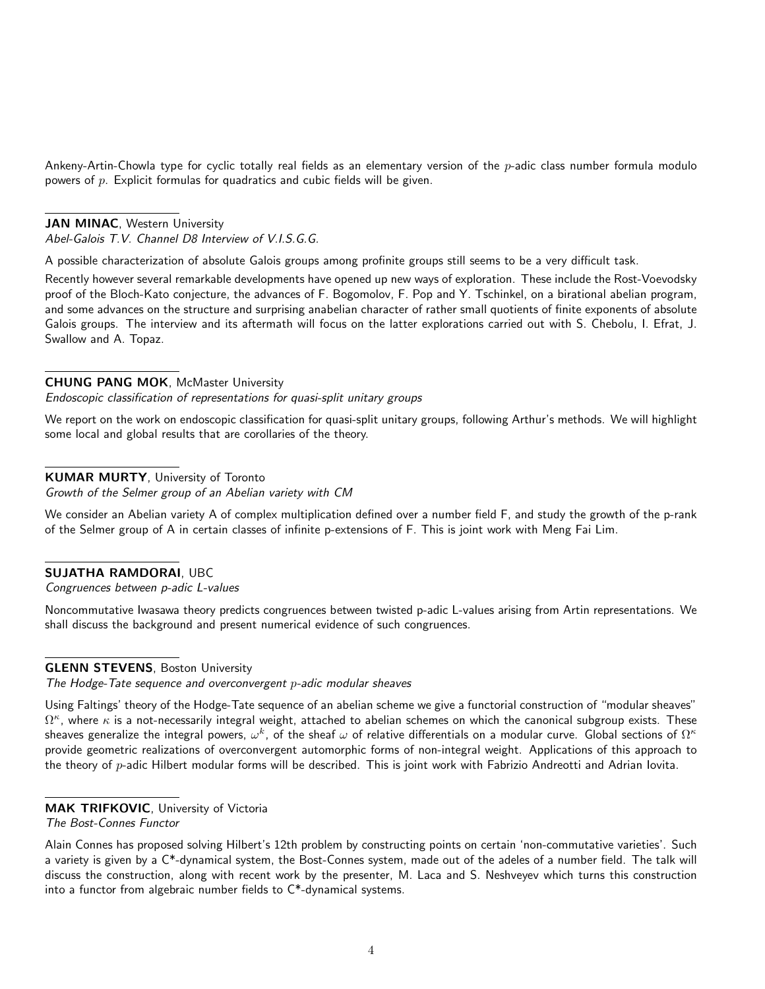Ankeny-Artin-Chowla type for cyclic totally real fields as an elementary version of the  $p$ -adic class number formula modulo powers of  $p$ . Explicit formulas for quadratics and cubic fields will be given.

### JAN MINAC, Western University

Abel-Galois T.V. Channel D8 Interview of V.I.S.G.G.

A possible characterization of absolute Galois groups among profinite groups still seems to be a very difficult task.

Recently however several remarkable developments have opened up new ways of exploration. These include the Rost-Voevodsky proof of the Bloch-Kato conjecture, the advances of F. Bogomolov, F. Pop and Y. Tschinkel, on a birational abelian program, and some advances on the structure and surprising anabelian character of rather small quotients of finite exponents of absolute Galois groups. The interview and its aftermath will focus on the latter explorations carried out with S. Chebolu, I. Efrat, J. Swallow and A. Topaz.

### CHUNG PANG MOK, McMaster University

Endoscopic classification of representations for quasi-split unitary groups

We report on the work on endoscopic classification for quasi-split unitary groups, following Arthur's methods. We will highlight some local and global results that are corollaries of the theory.

## KUMAR MURTY, University of Toronto

Growth of the Selmer group of an Abelian variety with CM

We consider an Abelian variety A of complex multiplication defined over a number field F, and study the growth of the p-rank of the Selmer group of A in certain classes of infinite p-extensions of F. This is joint work with Meng Fai Lim.

## SUJATHA RAMDORAI, UBC

Congruences between p-adic L-values

Noncommutative Iwasawa theory predicts congruences between twisted p-adic L-values arising from Artin representations. We shall discuss the background and present numerical evidence of such congruences.

## **GLENN STEVENS, Boston University**

The Hodge-Tate sequence and overconvergent p-adic modular sheaves

Using Faltings' theory of the Hodge-Tate sequence of an abelian scheme we give a functorial construction of "modular sheaves"  $\Omega^\kappa$ , where  $\kappa$  is a not-necessarily integral weight, attached to abelian schemes on which the canonical subgroup exists. These sheaves generalize the integral powers,  $\omega^k$ , of the sheaf  $\omega$  of relative differentials on a modular curve. Global sections of  $\Omega^\kappa$ provide geometric realizations of overconvergent automorphic forms of non-integral weight. Applications of this approach to the theory of p-adic Hilbert modular forms will be described. This is joint work with Fabrizio Andreotti and Adrian Iovita.

## MAK TRIFKOVIC, University of Victoria

The Bost-Connes Functor

Alain Connes has proposed solving Hilbert's 12th problem by constructing points on certain 'non-commutative varieties'. Such a variety is given by a  $C^*$ -dynamical system, the Bost-Connes system, made out of the adeles of a number field. The talk will discuss the construction, along with recent work by the presenter, M. Laca and S. Neshveyev which turns this construction into a functor from algebraic number fields to C\*-dynamical systems.